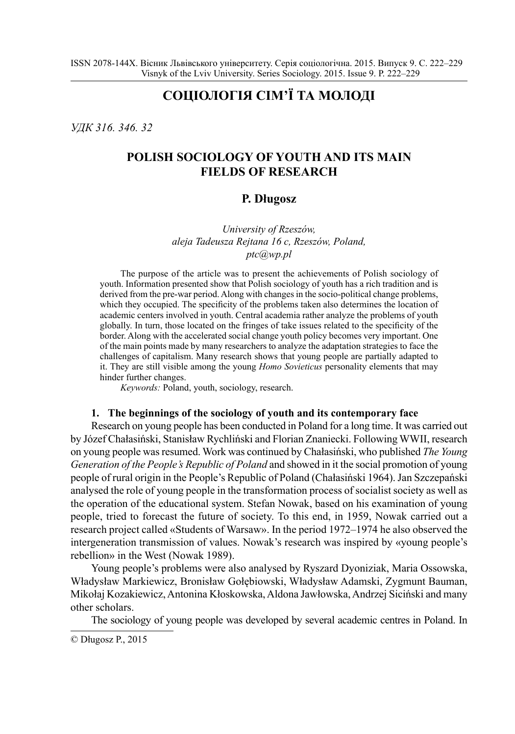# **СОЦІОЛОГІЯ СІМ'Ї ТА МОЛОДІ**

*УДК 316. 346. 32*

# **POLISH SOCIOLOGY OF YOUTH AND ITS MAIN FIELDS OF RESEARCH**

### **P. Długosz**

*University of Rzeszów, aleja Tadeusza Rejtana 16 c, Rzeszów, Poland, ptc@wp.pl*

The purpose of the article was to present the achievements of Polish sociology of youth. Information presented show that Polish sociology of youth has a rich tradition and is derived from the pre-war period. Along with changes in the socio-political change problems, which they occupied. The specificity of the problems taken also determines the location of academic centers involved in youth. Central academia rather analyze the problems of youth globally. In turn, those located on the fringes of take issues related to the specificity of the border. Along with the accelerated social change youth policy becomes very important. One of the main points made by many researchers to analyze the adaptation strategies to face the challenges of capitalism. Many research shows that young people are partially adapted to it. They are still visible among the young *Homo Sovieticus* personality elements that may hinder further changes.

*Keywords:* Poland, youth, sociology, research.

#### **1. The beginnings of the sociology of youth and its contemporary face**

Research on young people has been conducted in Poland for a long time. It was carried out by Józef Chałasiński, Stanisław Rychliński and Florian Znaniecki. Following WWII, research on young people was resumed. Work was continued by Chałasiński, who published *The Young Generation of the People's Republic of Poland* and showed in it the social promotion of young people of rural origin in the People's Republic of Poland (Chałasiński 1964). Jan Szczepański analysed the role of young people in the transformation process of socialist society as well as the operation of the educational system. Stefan Nowak, based on his examination of young people, tried to forecast the future of society. To this end, in 1959, Nowak carried out a research project called «Students of Warsaw». In the period 1972–1974 he also observed the intergeneration transmission of values. Nowak's research was inspired by «young people's rebellion» in the West (Nowak 1989).

Young people's problems were also analysed by Ryszard Dyoniziak, Maria Ossowska, Władysław Markiewicz, Bronisław Gołębiowski, Władysław Adamski, Zygmunt Bauman, Mikołaj Kozakiewicz, Antonina Kłoskowska, Aldona Jawłowska, Andrzej Siciński and many other scholars.

The sociology of young people was developed by several academic centres in Poland. In

<sup>©</sup> Długosz P., 2015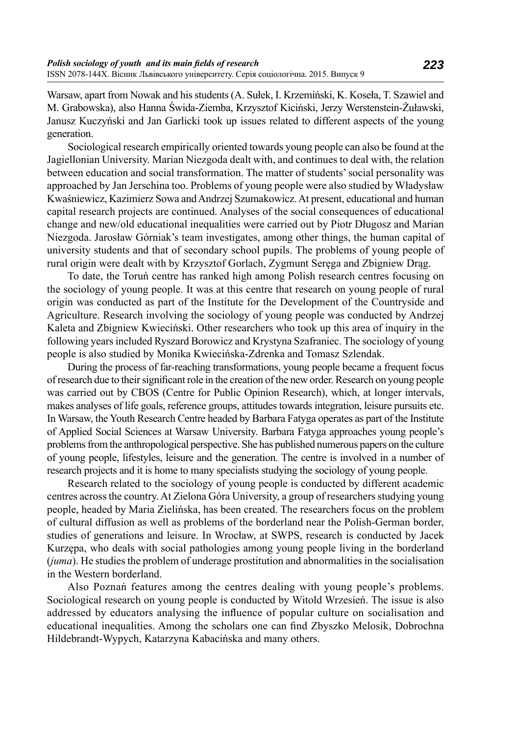Warsaw, apart from Nowak and his students (A. Sułek, I. Krzemiński, K. Koseła, T. Szawiel and M. Grabowska), also Hanna Świda-Ziemba, Krzysztof Kiciński, Jerzy Werstenstein-Żuławski, Janusz Kuczyński and Jan Garlicki took up issues related to different aspects of the young generation.

Sociological research empirically oriented towards young people can also be found at the Jagiellonian University. Marian Niezgoda dealt with, and continues to deal with, the relation between education and social transformation. The matter of students' social personality was approached by Jan Jerschina too. Problems of young people were also studied by Władysław Kwaśniewicz, Kazimierz Sowa and Andrzej Szumakowicz. At present, educational and human capital research projects are continued. Analyses of the social consequences of educational change and new/old educational inequalities were carried out by Piotr Długosz and Marian Niezgoda. Jarosław Górniak's team investigates, among other things, the human capital of university students and that of secondary school pupils. The problems of young people of rural origin were dealt with by Krzysztof Gorlach, Zygmunt Seręga and Zbigniew Drąg.

To date, the Toruń centre has ranked high among Polish research centres focusing on the sociology of young people. It was at this centre that research on young people of rural origin was conducted as part of the Institute for the Development of the Countryside and Agriculture. Research involving the sociology of young people was conducted by Andrzej Kaleta and Zbigniew Kwieciński. Other researchers who took up this area of inquiry in the following years included Ryszard Borowicz and Krystyna Szafraniec. The sociology of young people is also studied by Monika Kwiecińska-Zdrenka and Tomasz Szlendak.

During the process of far-reaching transformations, young people became a frequent focus of research due to their significant role in the creation of the new order. Research on young people was carried out by CBOS (Centre for Public Opinion Research), which, at longer intervals, makes analyses of life goals, reference groups, attitudes towards integration, leisure pursuits etc. In Warsaw, the Youth Research Centre headed by Barbara Fatyga operates as part of the Institute of Applied Social Sciences at Warsaw University. Barbara Fatyga approaches young people's problems from the anthropological perspective. She has published numerous papers on the culture of young people, lifestyles, leisure and the generation. The centre is involved in a number of research projects and it is home to many specialists studying the sociology of young people.

Research related to the sociology of young people is conducted by different academic centres across the country. At Zielona Góra University, a group of researchers studying young people, headed by Maria Zielińska, has been created. The researchers focus on the problem of cultural diffusion as well as problems of the borderland near the Polish-German border, studies of generations and leisure. In Wrocław, at SWPS, research is conducted by Jacek Kurzępa, who deals with social pathologies among young people living in the borderland (*juma*). He studies the problem of underage prostitution and abnormalities in the socialisation in the Western borderland.

Also Poznań features among the centres dealing with young people's problems. Sociological research on young people is conducted by Witold Wrzesień. The issue is also addressed by educators analysing the influence of popular culture on socialisation and educational inequalities. Among the scholars one can find Zbyszko Melosik, Dobrochna Hildebrandt-Wypych, Katarzyna Kabacińska and many others.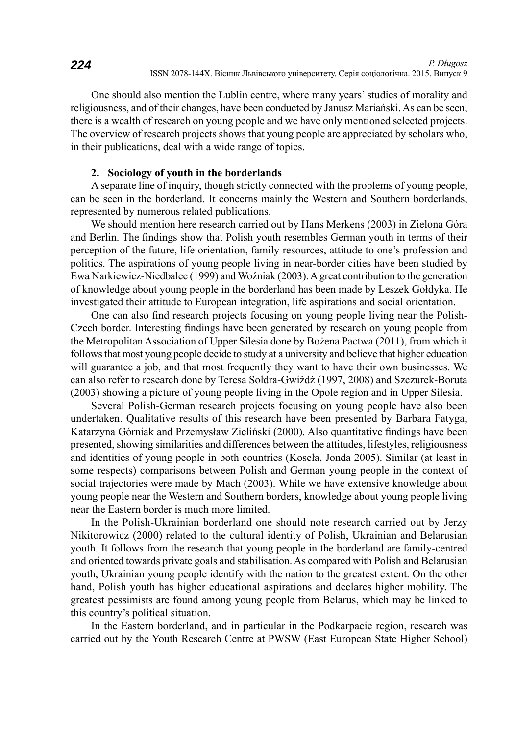One should also mention the Lublin centre, where many years' studies of morality and religiousness, and of their changes, have been conducted by Janusz Mariański. As can be seen, there is a wealth of research on young people and we have only mentioned selected projects. The overview of research projects shows that young people are appreciated by scholars who, in their publications, deal with a wide range of topics.

#### **2. Sociology of youth in the borderlands**

A separate line of inquiry, though strictly connected with the problems of young people, can be seen in the borderland. It concerns mainly the Western and Southern borderlands, represented by numerous related publications.

We should mention here research carried out by Hans Merkens (2003) in Zielona Góra and Berlin. The findings show that Polish youth resembles German youth in terms of their perception of the future, life orientation, family resources, attitude to one's profession and politics. The aspirations of young people living in near-border cities have been studied by Ewa Narkiewicz-Niedbalec (1999) and Woźniak (2003). A great contribution to the generation of knowledge about young people in the borderland has been made by Leszek Gołdyka. He investigated their attitude to European integration, life aspirations and social orientation.

One can also find research projects focusing on young people living near the Polish-Czech border. Interesting findings have been generated by research on young people from the Metropolitan Association of Upper Silesia done by Bożena Pactwa (2011), from which it follows that most young people decide to study at a university and believe that higher education will guarantee a job, and that most frequently they want to have their own businesses. We can also refer to research done by Teresa Sołdra-Gwiżdż (1997, 2008) and Szczurek-Boruta (2003) showing a picture of young people living in the Opole region and in Upper Silesia.

Several Polish-German research projects focusing on young people have also been undertaken. Qualitative results of this research have been presented by Barbara Fatyga, Katarzyna Górniak and Przemysław Zieliński (2000). Also quantitative findings have been presented, showing similarities and differences between the attitudes, lifestyles, religiousness and identities of young people in both countries (Koseła, Jonda 2005). Similar (at least in some respects) comparisons between Polish and German young people in the context of social trajectories were made by Mach (2003). While we have extensive knowledge about young people near the Western and Southern borders, knowledge about young people living near the Eastern border is much more limited.

In the Polish-Ukrainian borderland one should note research carried out by Jerzy Nikitorowicz (2000) related to the cultural identity of Polish, Ukrainian and Belarusian youth. It follows from the research that young people in the borderland are family-centred and oriented towards private goals and stabilisation. As compared with Polish and Belarusian youth, Ukrainian young people identify with the nation to the greatest extent. On the other hand, Polish youth has higher educational aspirations and declares higher mobility. The greatest pessimists are found among young people from Belarus, which may be linked to this country's political situation.

In the Eastern borderland, and in particular in the Podkarpacie region, research was carried out by the Youth Research Centre at PWSW (East European State Higher School)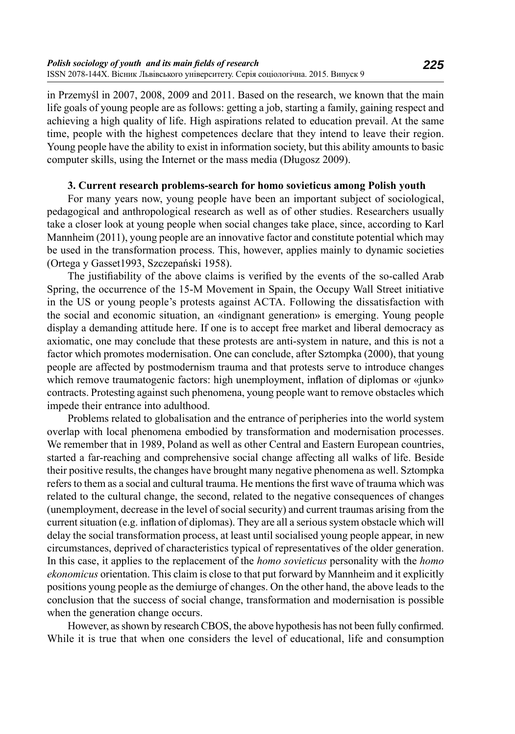in Przemyśl in 2007, 2008, 2009 and 2011. Based on the research, we known that the main life goals of young people are as follows: getting a job, starting a family, gaining respect and achieving a high quality of life. High aspirations related to education prevail. At the same time, people with the highest competences declare that they intend to leave their region. Young people have the ability to exist in information society, but this ability amounts to basic computer skills, using the Internet or the mass media (Długosz 2009).

#### **3. Current research problems-search for homo sovieticus among Polish youth**

For many years now, young people have been an important subject of sociological, pedagogical and anthropological research as well as of other studies. Researchers usually take a closer look at young people when social changes take place, since, according to Karl Mannheim (2011), young people are an innovative factor and constitute potential which may be used in the transformation process. This, however, applies mainly to dynamic societies (Ortega y Gasset1993, Szczepański 1958).

The justifiability of the above claims is verified by the events of the so-called Arab Spring, the occurrence of the 15-M Movement in Spain, the Occupy Wall Street initiative in the US or young people's protests against ACTA. Following the dissatisfaction with the social and economic situation, an «indignant generation» is emerging. Young people display a demanding attitude here. If one is to accept free market and liberal democracy as axiomatic, one may conclude that these protests are anti-system in nature, and this is not a factor which promotes modernisation. One can conclude, after Sztompka (2000), that young people are affected by postmodernism trauma and that protests serve to introduce changes which remove traumatogenic factors: high unemployment, inflation of diplomas or «junk» contracts. Protesting against such phenomena, young people want to remove obstacles which impede their entrance into adulthood.

Problems related to globalisation and the entrance of peripheries into the world system overlap with local phenomena embodied by transformation and modernisation processes. We remember that in 1989, Poland as well as other Central and Eastern European countries, started a far-reaching and comprehensive social change affecting all walks of life. Beside their positive results, the changes have brought many negative phenomena as well. Sztompka refers to them as a social and cultural trauma. He mentions the first wave of trauma which was related to the cultural change, the second, related to the negative consequences of changes (unemployment, decrease in the level of social security) and current traumas arising from the current situation (e.g. inflation of diplomas). They are all a serious system obstacle which will delay the social transformation process, at least until socialised young people appear, in new circumstances, deprived of characteristics typical of representatives of the older generation. In this case, it applies to the replacement of the *homo sovieticus* personality with the *homo ekonomicus* orientation. This claim is close to that put forward by Mannheim and it explicitly positions young people as the demiurge of changes. On the other hand, the above leads to the conclusion that the success of social change, transformation and modernisation is possible when the generation change occurs.

However, as shown by research CBOS, the above hypothesis has not been fully confirmed. While it is true that when one considers the level of educational, life and consumption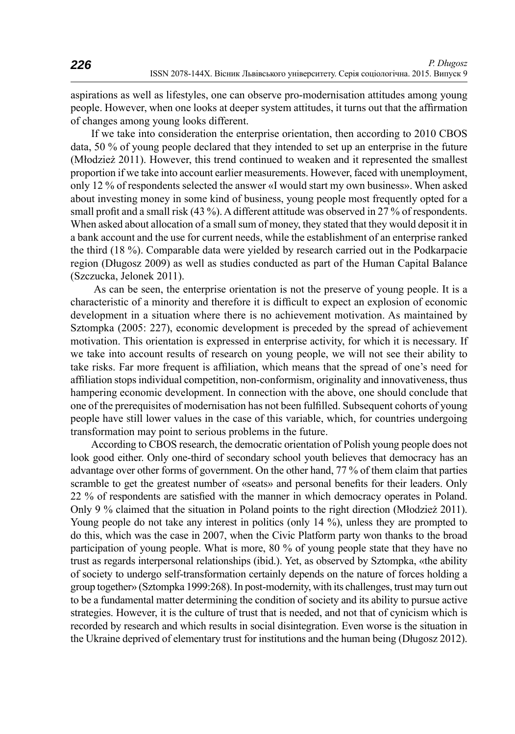aspirations as well as lifestyles, one can observe pro-modernisation attitudes among young people. However, when one looks at deeper system attitudes, it turns out that the affirmation of changes among young looks different.

If we take into consideration the enterprise orientation, then according to 2010 CBOS data, 50 % of young people declared that they intended to set up an enterprise in the future (Młodzież 2011). However, this trend continued to weaken and it represented the smallest proportion if we take into account earlier measurements. However, faced with unemployment, only 12 % of respondents selected the answer «I would start my own business». When asked about investing money in some kind of business, young people most frequently opted for a small profit and a small risk (43 %). A different attitude was observed in 27 % of respondents. When asked about allocation of a small sum of money, they stated that they would deposit it in a bank account and the use for current needs, while the establishment of an enterprise ranked the third (18 %). Comparable data were yielded by research carried out in the Podkarpacie region (Długosz 2009) as well as studies conducted as part of the Human Capital Balance (Szczucka, Jelonek 2011).

 As can be seen, the enterprise orientation is not the preserve of young people. It is a characteristic of a minority and therefore it is difficult to expect an explosion of economic development in a situation where there is no achievement motivation. As maintained by Sztompka (2005: 227), economic development is preceded by the spread of achievement motivation. This orientation is expressed in enterprise activity, for which it is necessary. If we take into account results of research on young people, we will not see their ability to take risks. Far more frequent is affiliation, which means that the spread of one's need for affiliation stops individual competition, non-conformism, originality and innovativeness, thus hampering economic development. In connection with the above, one should conclude that one of the prerequisites of modernisation has not been fulfilled. Subsequent cohorts of young people have still lower values in the case of this variable, which, for countries undergoing transformation may point to serious problems in the future.

According to CBOS research, the democratic orientation of Polish young people does not look good either. Only one-third of secondary school youth believes that democracy has an advantage over other forms of government. On the other hand, 77 % of them claim that parties scramble to get the greatest number of «seats» and personal benefits for their leaders. Only 22 % of respondents are satisfied with the manner in which democracy operates in Poland. Only 9 % claimed that the situation in Poland points to the right direction (Młodzież 2011). Young people do not take any interest in politics (only 14 %), unless they are prompted to do this, which was the case in 2007, when the Civic Platform party won thanks to the broad participation of young people. What is more, 80 % of young people state that they have no trust as regards interpersonal relationships (ibid.). Yet, as observed by Sztompka, «the ability of society to undergo self-transformation certainly depends on the nature of forces holding a group together» (Sztompka 1999:268). In post-modernity, with its challenges, trust may turn out to be a fundamental matter determining the condition of society and its ability to pursue active strategies. However, it is the culture of trust that is needed, and not that of cynicism which is recorded by research and which results in social disintegration. Even worse is the situation in the Ukraine deprived of elementary trust for institutions and the human being (Długosz 2012).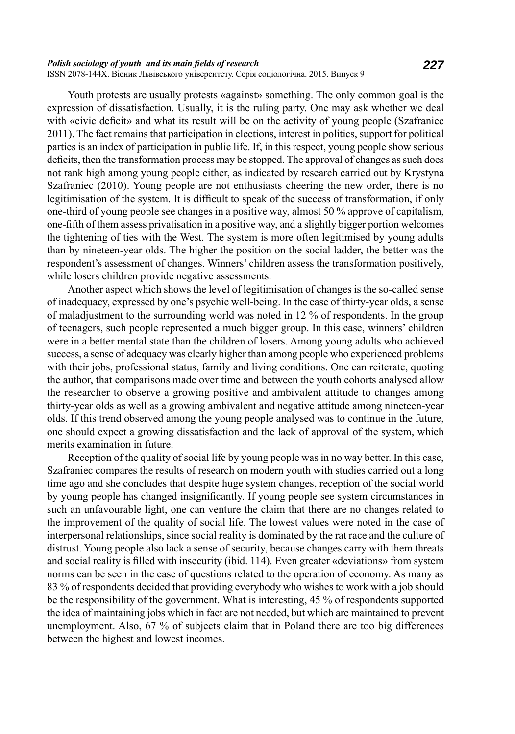Youth protests are usually protests «against» something. The only common goal is the expression of dissatisfaction. Usually, it is the ruling party. One may ask whether we deal with «civic deficit» and what its result will be on the activity of young people (Szafraniec 2011). The fact remains that participation in elections, interest in politics, support for political parties is an index of participation in public life. If, in this respect, young people show serious deficits, then the transformation process may be stopped. The approval of changes as such does not rank high among young people either, as indicated by research carried out by Krystyna Szafraniec (2010). Young people are not enthusiasts cheering the new order, there is no legitimisation of the system. It is difficult to speak of the success of transformation, if only one-third of young people see changes in a positive way, almost 50 % approve of capitalism, one-fi fth of them assess privatisation in a positive way, and a slightly bigger portion welcomes the tightening of ties with the West. The system is more often legitimised by young adults than by nineteen-year olds. The higher the position on the social ladder, the better was the respondent's assessment of changes. Winners' children assess the transformation positively, while losers children provide negative assessments.

Another aspect which shows the level of legitimisation of changes is the so-called sense of inadequacy, expressed by one's psychic well-being. In the case of thirty-year olds, a sense of maladjustment to the surrounding world was noted in 12 % of respondents. In the group of teenagers, such people represented a much bigger group. In this case, winners' children were in a better mental state than the children of losers. Among young adults who achieved success, a sense of adequacy was clearly higher than among people who experienced problems with their jobs, professional status, family and living conditions. One can reiterate, quoting the author, that comparisons made over time and between the youth cohorts analysed allow the researcher to observe a growing positive and ambivalent attitude to changes among thirty-year olds as well as a growing ambivalent and negative attitude among nineteen-year olds. If this trend observed among the young people analysed was to continue in the future, one should expect a growing dissatisfaction and the lack of approval of the system, which merits examination in future.

Reception of the quality of social life by young people was in no way better. In this case, Szafraniec compares the results of research on modern youth with studies carried out a long time ago and she concludes that despite huge system changes, reception of the social world by young people has changed insignificantly. If young people see system circumstances in such an unfavourable light, one can venture the claim that there are no changes related to the improvement of the quality of social life. The lowest values were noted in the case of interpersonal relationships, since social reality is dominated by the rat race and the culture of distrust. Young people also lack a sense of security, because changes carry with them threats and social reality is filled with insecurity (ibid. 114). Even greater «deviations» from system norms can be seen in the case of questions related to the operation of economy. As many as 83 % of respondents decided that providing everybody who wishes to work with a job should be the responsibility of the government. What is interesting, 45 % of respondents supported the idea of maintaining jobs which in fact are not needed, but which are maintained to prevent unemployment. Also, 67 % of subjects claim that in Poland there are too big differences between the highest and lowest incomes.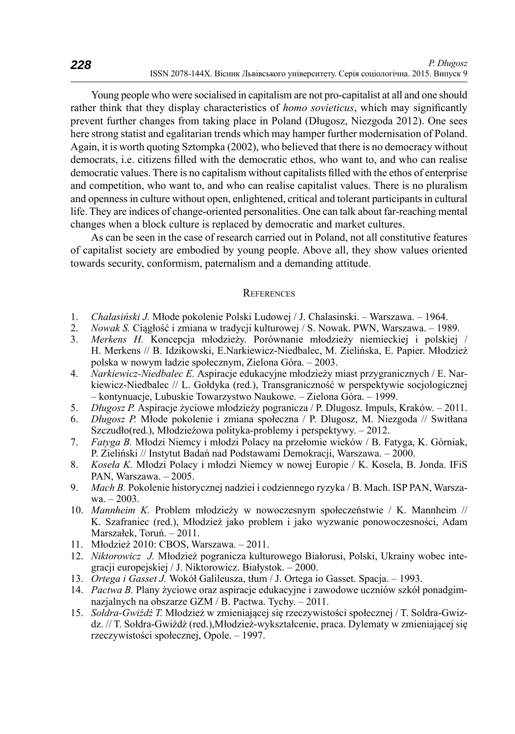Young people who were socialised in capitalism are not pro-capitalist at all and one should rather think that they display characteristics of *homo sovieticus*, which may significantly prevent further changes from taking place in Poland (Długosz, Niezgoda 2012). One sees here strong statist and egalitarian trends which may hamper further modernisation of Poland. Again, it is worth quoting Sztompka (2002), who believed that there is no democracy without democrats, i.e. citizens filled with the democratic ethos, who want to, and who can realise democratic values. There is no capitalism without capitalists filled with the ethos of enterprise and competition, who want to, and who can realise capitalist values. There is no pluralism and openness in culture without open, enlightened, critical and tolerant participants in cultural life. They are indices of change-oriented personalities. One can talk about far-reaching mental changes when a block culture is replaced by democratic and market cultures.

As can be seen in the case of research carried out in Poland, not all constitutive features of capitalist society are embodied by young people. Above all, they show values oriented towards security, conformism, paternalism and a demanding attitude.

#### **REFERENCES**

- 1. *Chałasiński J.* Młode pokolenie Polski Ludowej / J. Chalasinski. Warszawa. 1964.
- 2. *Nowak S.* Ciągłość i zmiana w tradycji kulturowej / S. Nowak. PWN, Warszawa. 1989.
- 3. *Merkens H.* Koncepcja młodzieży. Porównanie młodzieży niemieckiej i polskiej / H. Merkens // B. Idzikowski, E.Narkiewicz-Niedbalec, M. Zielińska, E. Papier. Młodzież polska w nowym ładzie społecznym, Zielona Góra. – 2003.
- 4. *Narkiewicz-Niedbalec E.* Aspiracje edukacyjne młodzieży miast przygranicznych / E. Narkiewicz-Niedbalec // L. Gołdyka (red.), Transgraniczność w perspektywie socjologicznej – kontynuacje, Lubuskie Towarzystwo Naukowe. – Zielona Góra. – 1999.
- 5. *Długosz P.* Aspiracje życiowe młodzieży pogranicza / P. Dlugosz. Impuls, Kraków. 2011.
- 6. *Długosz P.* Młode pokolenie i zmiana społeczna / P. Dlugosz, M. Niezgoda // Switłana Szczudło(red.), Młodzieżowa polityka-problemy i perspektywy. – 2012.
- 7. *Fatyga B.* Młodzi Niemcy i młodzi Polacy na przełomie wieków / B. Fatyga, K. Górniak, P. Zieliński // Instytut Badań nad Podstawami Demokracji, Warszawa. – 2000.
- 8. *Koseła K.* Młodzi Polacy i młodzi Niemcy w nowej Europie / K. Kosela, B. Jonda. IFiS PAN, Warszawa. – 2005.
- 9. *Mach B.* Pokolenie historycznej nadziei i codziennego ryzyka / B. Mach. ISP PAN, Warszawa. – 2003.
- 10. *Mannheim K.* Problem młodzieży w nowoczesnym społeczeństwie / K. Mannheim // K. Szafraniec (red.), Młodzież jako problem i jako wyzwanie ponowoczesności, Adam Marszałek, Toruń. – 2011.
- 11. Młodzież 2010: CBOS, Warszawa. 2011.
- 12. *Niktorowicz J.* Młodzież pogranicza kulturowego Białorusi, Polski, Ukrainy wobec integracji europejskiej / J. Niktorowicz. Białystok. – 2000.
- 13. *Ortega i Gasset J.* Wokół Galileusza, tłum / J. Ortega io Gasset. Spacja. 1993.
- 14. *Pactwa B.* Plany życiowe oraz aspiracje edukacyjne i zawodowe uczniów szkół ponadgimnazjalnych na obszarze GZM / B. Pactwa. Tychy. – 2011.
- 15. *Sołdra-Gwiżdż T.* Młodzież w zmieniającej się rzeczywistości społecznej / T. Soldra-Gwizdz. // T. Sołdra-Gwiżdż (red.),Młodzież-wykształcenie, praca. Dylematy w zmieniającej się rzeczywistości społecznej, Opole. – 1997.